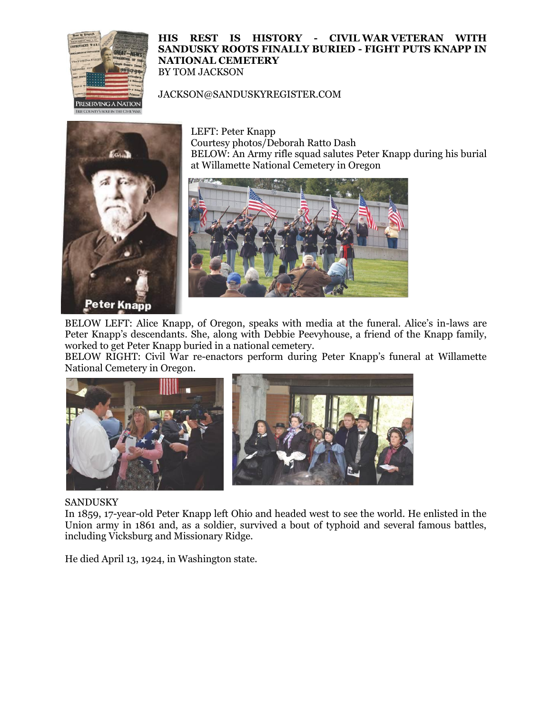

## **HIS REST IS HISTORY - CIVIL WAR VETERAN WITH SANDUSKY ROOTS FINALLY BURIED - FIGHT PUTS KNAPP IN NATIONAL CEMETERY** BY TOM JACKSON

## JACKSON@SANDUSKYREGISTER.COM



LEFT: Peter Knapp Courtesy photos/Deborah Ratto Dash BELOW: An Army rifle squad salutes Peter Knapp during his burial at Willamette National Cemetery in Oregon



BELOW LEFT: Alice Knapp, of Oregon, speaks with media at the funeral. Alice's in-laws are Peter Knapp's descendants. She, along with Debbie Peevyhouse, a friend of the Knapp family, worked to get Peter Knapp buried in a national cemetery.

BELOW RIGHT: Civil War re-enactors perform during Peter Knapp's funeral at Willamette National Cemetery in Oregon.



## SANDUSKY

In 1859, 17-year-old Peter Knapp left Ohio and headed west to see the world. He enlisted in the Union army in 1861 and, as a soldier, survived a bout of typhoid and several famous battles, including Vicksburg and Missionary Ridge.

He died April 13, 1924, in Washington state.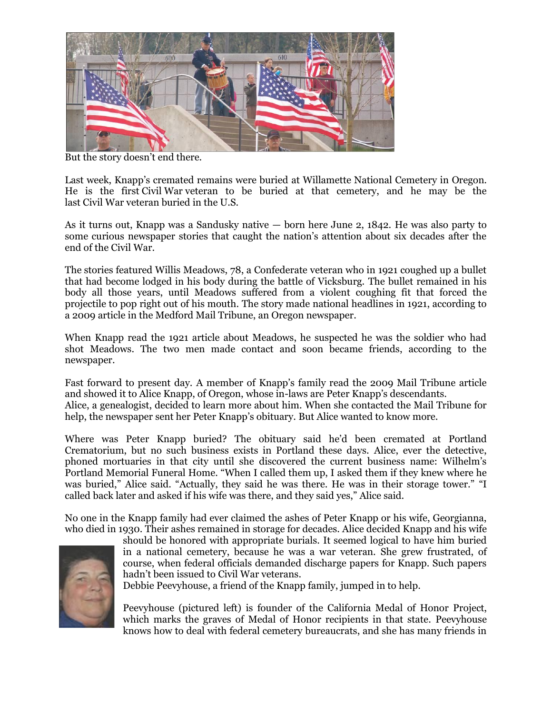

But the story doesn't end there.

Last week, Knapp's cremated remains were buried at Willamette National Cemetery in Oregon. He is the first Civil War veteran to be buried at that cemetery, and he may be the last Civil War veteran buried in the U.S.

As it turns out, Knapp was a Sandusky native — born here June 2, 1842. He was also party to some curious newspaper stories that caught the nation's attention about six decades after the end of the Civil War.

The stories featured Willis Meadows, 78, a Confederate veteran who in 1921 coughed up a bullet that had become lodged in his body during the battle of Vicksburg. The bullet remained in his body all those years, until Meadows suffered from a violent coughing fit that forced the projectile to pop right out of his mouth. The story made national headlines in 1921, according to a 2009 article in the Medford Mail Tribune, an Oregon newspaper.

When Knapp read the 1921 article about Meadows, he suspected he was the soldier who had shot Meadows. The two men made contact and soon became friends, according to the newspaper.

Fast forward to present day. A member of Knapp's family read the 2009 Mail Tribune article and showed it to Alice Knapp, of Oregon, whose in-laws are Peter Knapp's descendants. Alice, a genealogist, decided to learn more about him. When she contacted the Mail Tribune for help, the newspaper sent her Peter Knapp's obituary. But Alice wanted to know more.

Where was Peter Knapp buried? The obituary said he'd been cremated at Portland Crematorium, but no such business exists in Portland these days. Alice, ever the detective, phoned mortuaries in that city until she discovered the current business name: Wilhelm's Portland Memorial Funeral Home. "When I called them up, I asked them if they knew where he was buried," Alice said. "Actually, they said he was there. He was in their storage tower." "I called back later and asked if his wife was there, and they said yes," Alice said.

No one in the Knapp family had ever claimed the ashes of Peter Knapp or his wife, Georgianna, who died in 1930. Their ashes remained in storage for decades. Alice decided Knapp and his wife



should be honored with appropriate burials. It seemed logical to have him buried in a national cemetery, because he was a war veteran. She grew frustrated, of course, when federal officials demanded discharge papers for Knapp. Such papers hadn't been issued to Civil War veterans.

Debbie Peevyhouse, a friend of the Knapp family, jumped in to help.

Peevyhouse (pictured left) is founder of the California Medal of Honor Project, which marks the graves of Medal of Honor recipients in that state. Peevyhouse knows how to deal with federal cemetery bureaucrats, and she has many friends in